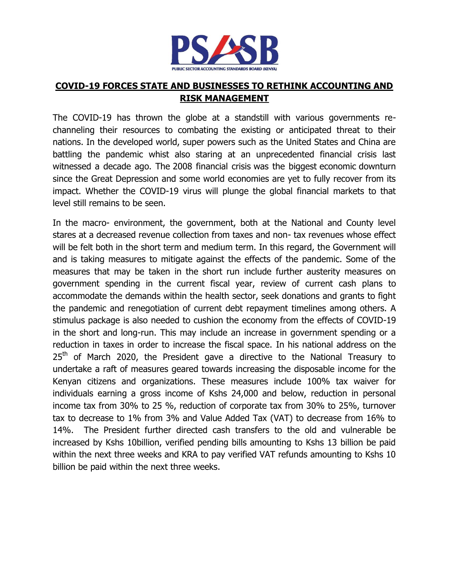

## **COVID-19 FORCES STATE AND BUSINESSES TO RETHINK ACCOUNTING AND RISK MANAGEMENT**

The COVID-19 has thrown the globe at a standstill with various governments rechanneling their resources to combating the existing or anticipated threat to their nations. In the developed world, super powers such as the United States and China are battling the pandemic whist also staring at an unprecedented financial crisis last witnessed a decade ago. The 2008 financial crisis was the biggest economic downturn since the Great Depression and some world economies are yet to fully recover from its impact. Whether the COVID-19 virus will plunge the global financial markets to that level still remains to be seen.

In the macro- environment, the government, both at the National and County level stares at a decreased revenue collection from taxes and non- tax revenues whose effect will be felt both in the short term and medium term. In this regard, the Government will and is taking measures to mitigate against the effects of the pandemic. Some of the measures that may be taken in the short run include further austerity measures on government spending in the current fiscal year, review of current cash plans to accommodate the demands within the health sector, seek donations and grants to fight the pandemic and renegotiation of current debt repayment timelines among others. A stimulus package is also needed to cushion the economy from the effects of COVID-19 in the short and long-run. This may include an increase in government spending or a reduction in taxes in order to increase the fiscal space. In his national address on the  $25<sup>th</sup>$  of March 2020, the President gave a directive to the National Treasury to undertake a raft of measures geared towards increasing the disposable income for the Kenyan citizens and organizations. These measures include 100% tax waiver for individuals earning a gross income of Kshs 24,000 and below, reduction in personal income tax from 30% to 25 %, reduction of corporate tax from 30% to 25%, turnover tax to decrease to 1% from 3% and Value Added Tax (VAT) to decrease from 16% to 14%. The President further directed cash transfers to the old and vulnerable be increased by Kshs 10billion, verified pending bills amounting to Kshs 13 billion be paid within the next three weeks and KRA to pay verified VAT refunds amounting to Kshs 10 billion be paid within the next three weeks.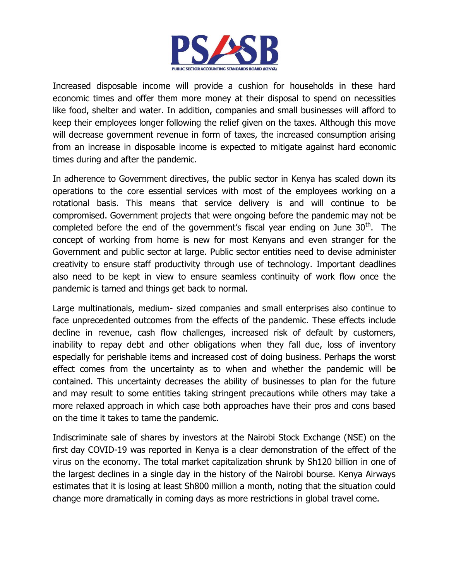

Increased disposable income will provide a cushion for households in these hard economic times and offer them more money at their disposal to spend on necessities like food, shelter and water. In addition, companies and small businesses will afford to keep their employees longer following the relief given on the taxes. Although this move will decrease government revenue in form of taxes, the increased consumption arising from an increase in disposable income is expected to mitigate against hard economic times during and after the pandemic.

In adherence to Government directives, the public sector in Kenya has scaled down its operations to the core essential services with most of the employees working on a rotational basis. This means that service delivery is and will continue to be compromised. Government projects that were ongoing before the pandemic may not be completed before the end of the government's fiscal year ending on June  $30<sup>th</sup>$ . The concept of working from home is new for most Kenyans and even stranger for the Government and public sector at large. Public sector entities need to devise administer creativity to ensure staff productivity through use of technology. Important deadlines also need to be kept in view to ensure seamless continuity of work flow once the pandemic is tamed and things get back to normal.

Large multinationals, medium- sized companies and small enterprises also continue to face unprecedented outcomes from the effects of the pandemic. These effects include decline in revenue, cash flow challenges, increased risk of default by customers, inability to repay debt and other obligations when they fall due, loss of inventory especially for perishable items and increased cost of doing business. Perhaps the worst effect comes from the uncertainty as to when and whether the pandemic will be contained. This uncertainty decreases the ability of businesses to plan for the future and may result to some entities taking stringent precautions while others may take a more relaxed approach in which case both approaches have their pros and cons based on the time it takes to tame the pandemic.

Indiscriminate sale of shares by investors at the Nairobi Stock Exchange (NSE) on the first day COVID-19 was reported in Kenya is a clear demonstration of the effect of the virus on the economy. The total market capitalization shrunk by Sh120 billion in one of the largest declines in a single day in the history of the Nairobi bourse. Kenya Airways estimates that it is losing at least Sh800 million a month, noting that the situation could change more dramatically in coming days as more restrictions in global travel come.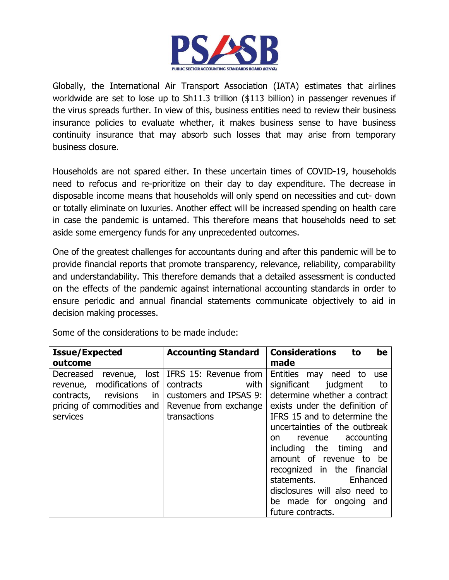

Globally, the International Air Transport Association (IATA) estimates that airlines worldwide are set to lose up to Sh11.3 trillion (\$113 billion) in passenger revenues if the virus spreads further. In view of this, business entities need to review their business insurance policies to evaluate whether, it makes business sense to have business continuity insurance that may absorb such losses that may arise from temporary business closure.

Households are not spared either. In these uncertain times of COVID-19, households need to refocus and re-prioritize on their day to day expenditure. The decrease in disposable income means that households will only spend on necessities and cut- down or totally eliminate on luxuries. Another effect will be increased spending on health care in case the pandemic is untamed. This therefore means that households need to set aside some emergency funds for any unprecedented outcomes.

One of the greatest challenges for accountants during and after this pandemic will be to provide financial reports that promote transparency, relevance, reliability, comparability and understandability. This therefore demands that a detailed assessment is conducted on the effects of the pandemic against international accounting standards in order to ensure periodic and annual financial statements communicate objectively to aid in decision making processes.

| <b>Issue/Expected</b>                                                                                                                                                    | <b>Accounting Standard</b>                                                           | <b>Considerations</b><br>be<br>to                                                                                                                                                                                                                                                                                                                                                 |
|--------------------------------------------------------------------------------------------------------------------------------------------------------------------------|--------------------------------------------------------------------------------------|-----------------------------------------------------------------------------------------------------------------------------------------------------------------------------------------------------------------------------------------------------------------------------------------------------------------------------------------------------------------------------------|
| outcome                                                                                                                                                                  |                                                                                      | made                                                                                                                                                                                                                                                                                                                                                                              |
| lost<br>Decreased revenue,<br>modifications of<br>revenue,<br>revisions<br>contracts,<br>$\mathsf{in}$<br>pricing of commodities and   Revenue from exchange<br>services | IFRS 15: Revenue from<br>contracts<br>with<br>customers and IPSAS 9:<br>transactions | Entities may need to<br>use<br>significant<br>judgment<br>to<br>determine whether a contract<br>exists under the definition of<br>IFRS 15 and to determine the<br>uncertainties of the outbreak<br>revenue accounting<br>on.<br>including the timing<br>and<br>amount of revenue to be<br>recognized in the financial<br>statements.<br>Enhanced<br>disclosures will also need to |
|                                                                                                                                                                          |                                                                                      | be made for ongoing and<br>future contracts.                                                                                                                                                                                                                                                                                                                                      |

Some of the considerations to be made include: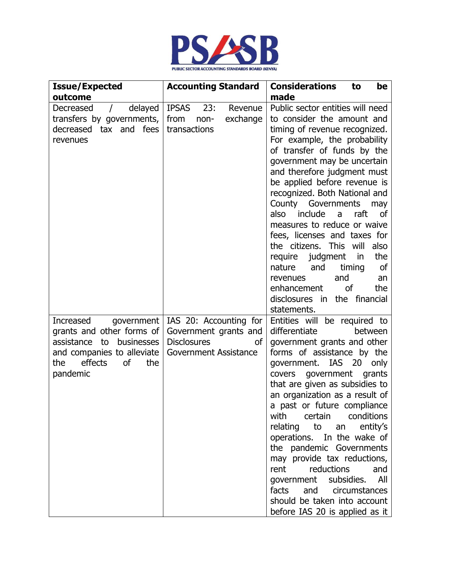

| <b>Issue/Expected</b>                                                                                                                                     | <b>Accounting Standard</b>                                                                           | <b>Considerations</b><br>to<br>be                                                                                                                                                                                                                                                                                                                                                                                                                                                                                                                                                                                                               |
|-----------------------------------------------------------------------------------------------------------------------------------------------------------|------------------------------------------------------------------------------------------------------|-------------------------------------------------------------------------------------------------------------------------------------------------------------------------------------------------------------------------------------------------------------------------------------------------------------------------------------------------------------------------------------------------------------------------------------------------------------------------------------------------------------------------------------------------------------------------------------------------------------------------------------------------|
| outcome                                                                                                                                                   |                                                                                                      | made                                                                                                                                                                                                                                                                                                                                                                                                                                                                                                                                                                                                                                            |
| delayed<br>Decreased<br>$\sqrt{2}$<br>transfers by governments,<br>decreased tax and fees<br>revenues                                                     | <b>IPSAS</b><br>23:<br>Revenue<br>from<br>exchange<br>non-<br>transactions                           | Public sector entities will need<br>to consider the amount and<br>timing of revenue recognized.<br>For example, the probability<br>of transfer of funds by the<br>government may be uncertain<br>and therefore judgment must<br>be applied before revenue is<br>recognized. Both National and<br>County<br>Governments<br>may<br>also include<br>raft<br>a<br>0f<br>measures to reduce or waive<br>fees, licenses and taxes for<br>the citizens. This will<br>also<br>the<br>require judgment<br>in<br>timing<br><b>of</b><br>nature<br>and<br>and<br>revenues<br>an<br>enhancement<br>οf<br>the<br>disclosures in the financial<br>statements. |
| Increased<br>government<br>grants and other forms of<br>assistance to businesses<br>and companies to alleviate<br>effects<br>the<br>οf<br>the<br>pandemic | IAS 20: Accounting for<br>Government grants and<br><b>Disclosures</b><br>οf<br>Government Assistance | Entities will be required to<br>differentiate<br>between<br>government grants and other<br>forms of assistance by the<br>government. IAS 20<br>only<br>covers government grants<br>that are given as subsidies to<br>an organization as a result of<br>a past or future compliance<br>with certain conditions<br>relating to an entity's<br>operations. In the wake of<br>the pandemic Governments<br>may provide tax reductions,<br>rent reductions<br>and<br>government subsidies. All<br>facts and circumstances<br>should be taken into account<br>before IAS 20 is applied as it                                                           |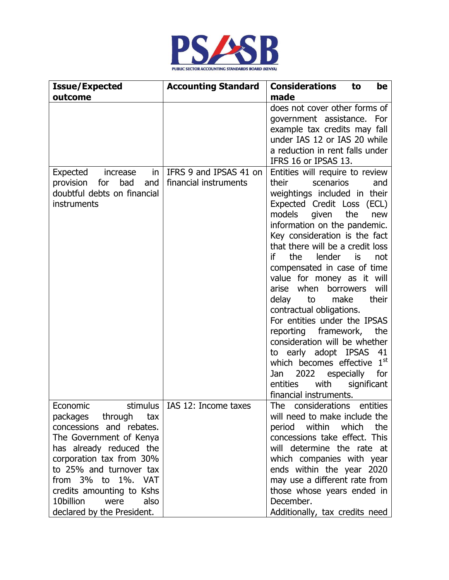

| <b>Issue/Expected</b>                                                                                                                                                                                                                                                                   | <b>Accounting Standard</b>                      | <b>Considerations</b><br>be<br>to                                                                                                                                                                                                                                                                                                                                                                                                                                                                                                                                                                                                                                                                                                 |
|-----------------------------------------------------------------------------------------------------------------------------------------------------------------------------------------------------------------------------------------------------------------------------------------|-------------------------------------------------|-----------------------------------------------------------------------------------------------------------------------------------------------------------------------------------------------------------------------------------------------------------------------------------------------------------------------------------------------------------------------------------------------------------------------------------------------------------------------------------------------------------------------------------------------------------------------------------------------------------------------------------------------------------------------------------------------------------------------------------|
| outcome                                                                                                                                                                                                                                                                                 |                                                 | made                                                                                                                                                                                                                                                                                                                                                                                                                                                                                                                                                                                                                                                                                                                              |
|                                                                                                                                                                                                                                                                                         |                                                 | does not cover other forms of<br>government assistance. For<br>example tax credits may fall<br>under IAS 12 or IAS 20 while<br>a reduction in rent falls under<br>IFRS 16 or IPSAS 13.                                                                                                                                                                                                                                                                                                                                                                                                                                                                                                                                            |
| Expected<br>in<br>increase<br>provision<br>for<br>bad<br>and<br>doubtful debts on financial<br>instruments                                                                                                                                                                              | IFRS 9 and IPSAS 41 on<br>financial instruments | Entities will require to review<br>their<br>scenarios<br>and<br>weightings included in their<br>Expected Credit Loss (ECL)<br>models given the<br>new<br>information on the pandemic.<br>Key consideration is the fact<br>that there will be a credit loss<br>lender<br>if<br>the<br>not<br>is<br>compensated in case of time<br>value for money as it will<br>arise when borrowers<br>will<br>their<br>delay<br>to<br>make<br>contractual obligations.<br>For entities under the IPSAS<br>reporting framework,<br>the<br>consideration will be whether<br>to early adopt IPSAS<br>41<br>which becomes effective 1 <sup>st</sup><br>2022<br>for<br>especially<br>Jan<br>significant<br>entities<br>with<br>financial instruments. |
| Economic<br>packages through tax<br>concessions and rebates.<br>The Government of Kenya<br>has already reduced the<br>corporation tax from 30%<br>to 25% and turnover tax<br>from 3% to 1%. VAT<br>credits amounting to Kshs<br>10billion<br>also<br>were<br>declared by the President. | stimulus   IAS 12: Income taxes                 | <b>The</b><br>considerations entities<br>will need to make include the<br>period within which<br>the<br>concessions take effect. This<br>will determine the rate at<br>which companies with year<br>ends within the year 2020<br>may use a different rate from<br>those whose years ended in<br>December.<br>Additionally, tax credits need                                                                                                                                                                                                                                                                                                                                                                                       |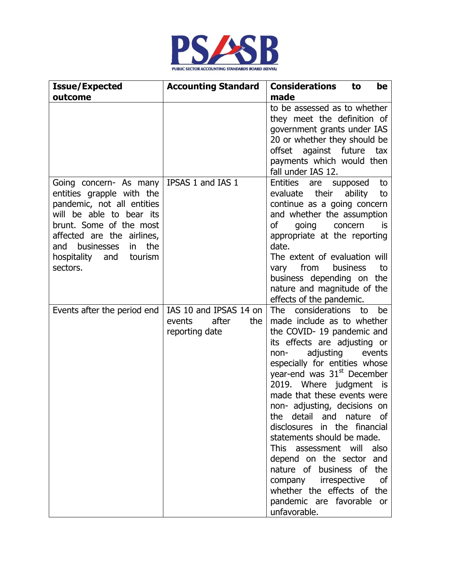

| <b>Issue/Expected</b>                                                                                                                                                                                                                                                             | <b>Accounting Standard</b>                                         | <b>Considerations</b><br>to<br>be                                                                                                                                                                                                                                                                                                                                                                                                                                                                                                                                                                                         |
|-----------------------------------------------------------------------------------------------------------------------------------------------------------------------------------------------------------------------------------------------------------------------------------|--------------------------------------------------------------------|---------------------------------------------------------------------------------------------------------------------------------------------------------------------------------------------------------------------------------------------------------------------------------------------------------------------------------------------------------------------------------------------------------------------------------------------------------------------------------------------------------------------------------------------------------------------------------------------------------------------------|
| outcome                                                                                                                                                                                                                                                                           |                                                                    | made                                                                                                                                                                                                                                                                                                                                                                                                                                                                                                                                                                                                                      |
|                                                                                                                                                                                                                                                                                   |                                                                    | to be assessed as to whether<br>they meet the definition of<br>government grants under IAS<br>20 or whether they should be<br>offset against future<br>tax<br>payments which would then<br>fall under IAS 12.                                                                                                                                                                                                                                                                                                                                                                                                             |
| Going concern- As many   IPSAS 1 and IAS 1<br>entities grapple with the<br>pandemic, not all entities<br>will be able to bear its<br>brunt. Some of the most<br>affected are the airlines,<br>the<br>businesses<br>and<br>$\mathsf{in}$<br>hospitality and<br>tourism<br>sectors. |                                                                    | Entities<br>are<br>supposed<br>to<br>evaluate<br>their<br>ability<br>to<br>continue as a going concern<br>and whether the assumption<br>of<br>going<br>concern<br><b>is</b><br>appropriate at the reporting<br>date.<br>The extent of evaluation will<br>from<br>business<br>to<br>vary<br>business depending on the<br>nature and magnitude of the<br>effects of the pandemic.                                                                                                                                                                                                                                           |
| Events after the period end                                                                                                                                                                                                                                                       | IAS 10 and IPSAS 14 on<br>after<br>events<br>the<br>reporting date | The<br>considerations<br>to<br>be<br>made include as to whether<br>the COVID-19 pandemic and<br>its effects are adjusting or<br>adjusting<br>non-<br>events<br>especially for entities whose<br>year-end was 31 <sup>st</sup> December<br>2019. Where judgment is<br>made that these events were<br>non- adjusting, decisions on<br>the detail and nature of<br>disclosures in the financial<br>statements should be made.<br>This assessment will also<br>depend on the sector and<br>nature of business of the<br>company irrespective<br>οf<br>whether the effects of the<br>pandemic are favorable or<br>unfavorable. |